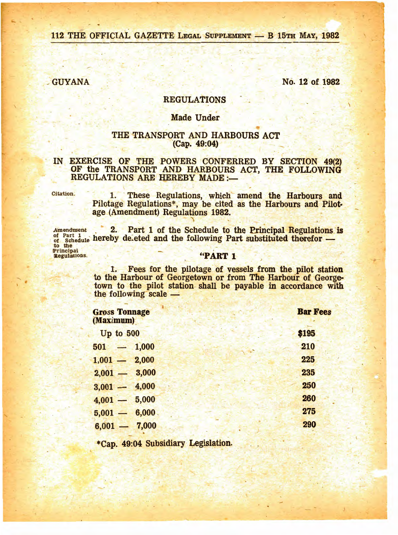112 THE OFFICIAL GAZETTE LEGAL SUPPLEMENT - B 15TH MAY, 1982

**GUYANA** 

No. 12 of 1982

# **REGULATIONS**

#### **Made Under**

## THE TRANSPORT AND HARBOURS ACT (Cap. 49:04)

### IN EXERCISE OF THE POWERS CONFERRED BY SECTION 49(2) OF the TRANSPORT AND HARBOURS ACT, THE FOLLOWING **REGULATIONS ARE HEREBY MADE:-**

Citation.

1. These Regulations, which amend the Harbours and Pilotage Regulations\*, may be cited as the Harbours and Pilotage (Amendment) Regulations 1982.

2. Part 1 of the Schedule to the Principal Regulations is Amendment of Part 1<br>of Schedule hereby deleted and the following Part substituted therefor —<br>principal<br>Regulations. <br>**Example 1**<br>**Example 2**<br>**Example 2**<br>**Example 2**<br>**Example 2**<br>**Example 2**<br>**Example 2** 

> Fees for the pilotage of vessels from the pilot station 1. to the Harbour of Georgetown or from The Harbour of Georgetown to the pilot station shall be payable in accordance with the following scale -

| <b>Gross Tonnage</b><br>(Maximum) | <b>Bar Fee</b> |
|-----------------------------------|----------------|
| Up to $500$                       | \$195          |
| $501 - 1,000$                     | 210            |
| $1,001 - 2,000$                   | 225            |
| $2,001 - 3,000$                   | 235            |
| $3,001 - 4,000$                   | 250            |
| $4,001 - 5,000$                   | 260            |
| $5,001 - 6,000$                   | 275            |
| $6,001 - 7,000$                   | 290            |

\*Cap. 49:04 Subsidiary Legislation.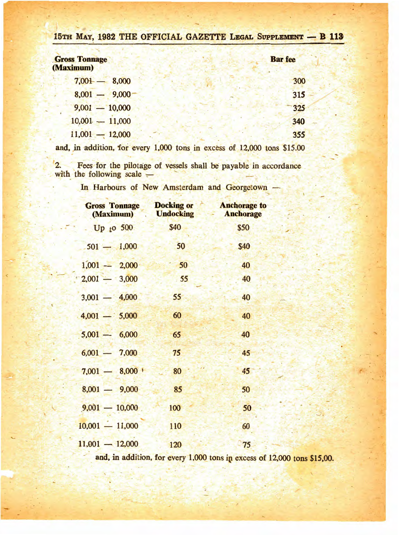|  |  |  |  |  |  |  | 15th May, 1982 THE OFFICIAL GAZETTE LEGAL SUPPLEMENT - B 113 |  |  |  |
|--|--|--|--|--|--|--|--------------------------------------------------------------|--|--|--|
|--|--|--|--|--|--|--|--------------------------------------------------------------|--|--|--|

| <b>Gross Tonnage</b><br>(Maximum) | <b>Bar</b> fee |
|-----------------------------------|----------------|
| $7,001 - 8,000$                   | 300            |
| $8,001 - 9,000$                   | 315            |
| $9,001 - 10,000$                  | 325            |
| $10,001 - 11,000$                 | 340            |
| $11,001 - 12,000$                 | 355            |
|                                   |                |

and, in addition, for every 1,000 tons in excess of 12,000 tons \$15.00

2. Fees for the pilotage of vessels shall be payable in accordance<br>with the following scale –

In Harbours of New Amsterdam and Georgetown

| <b>Gross Tonnage</b><br>(Maximum) | <b>Docking or</b><br><b>Undocking</b> | <b>Anchorage to</b><br><b>Anchorage</b> |  |  |
|-----------------------------------|---------------------------------------|-----------------------------------------|--|--|
| Up to $500$                       | \$40                                  | \$50                                    |  |  |
| $501 - 1,000$                     | 50                                    | \$40                                    |  |  |
| $1,001 - 2,000$                   | 50                                    | 40                                      |  |  |
| $2,001 - 3,000$                   | .55                                   | 40                                      |  |  |
| $3,001 - 4,000$                   | 55                                    | 40                                      |  |  |
| $4,001 - 5,000$                   | 60                                    | 40                                      |  |  |
| $5,001 - 6,000$                   | 65                                    | 40                                      |  |  |
| $6,001 - 7,000$                   | 75                                    | 45                                      |  |  |
| $7,001 - 8,000$                   | 80                                    | 45                                      |  |  |
| $8,001 - 9,000$                   | 85                                    | 50                                      |  |  |
| $9,001 - 10,000$                  | 100                                   | 50                                      |  |  |
| $10,001 - 11,000$                 | 110                                   | 60                                      |  |  |
| $11,001 - 12,000$                 | 120                                   | 75                                      |  |  |

and, in addition, for every 1,000 tons in excess of 12,000 tons \$15,00.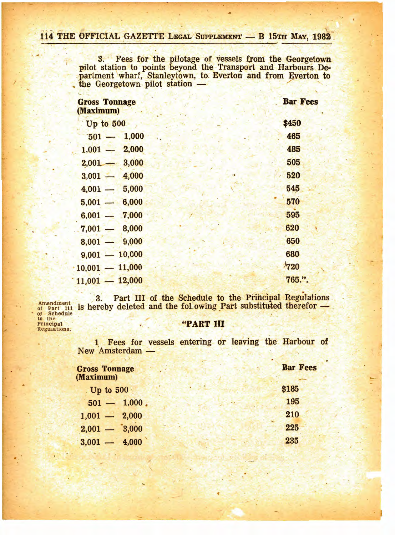3. Fees for the pilotage of vessels from the Georgetown pilot station to points beyond the Transport and Harbours Department wharf, Stanleytown, to Everton and from Everton to the Georgetown pilot station —

| <b>Gross Tonnage</b><br>(Maximum) | <b>Bar Fee</b> |
|-----------------------------------|----------------|
| <b>Up to 500</b>                  | \$450          |
| $501 - 1,000$                     | 465            |
| 2,000<br>$1,001 -$                | 485            |
| 3,000<br>$2,001 -$                | 505            |
| 4,000<br>$3,001 -$                | 520            |
| 5,000<br>4,001                    | 545            |
| 6,000<br>$5,001 -$                | 570            |
| 7,000<br>$6,001 -$                | 595            |
| 8,000<br>7,001                    | 620            |
| 9,000<br>8,001                    | 650            |
| 10,000<br>$9,001 -$               | 680            |
| $10,001 - 11,000$                 | 720            |
| $11,001 - 12,000$                 | 765.".         |

Amendment of Part 111<br>of Schedule to the<br>Principal Regulations.

# Part III of the Schedule to the Principal Regulations  $3.$ is hereby deleted and the following Part substituted therefor -

## "PART III

1 Fees for vessels entering or leaving the Harbour of New Amsterdam -

| <b>Gross Tonnage</b><br><b>Maximum</b> ) | <b>Bar Fees</b> |
|------------------------------------------|-----------------|
| Up to $5001$                             | \$185           |
| $501 - 1,000$ .                          | 195             |
| $1,001 - 2,000$                          | 210             |
| $2,001 - 3,000$                          | 225             |
| $3,001 - 4,000$                          | 235             |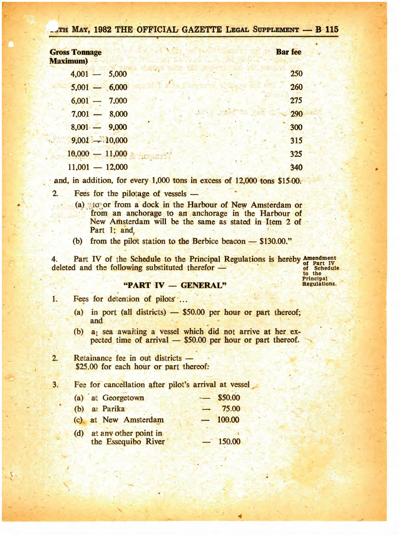| TH MAY, 1982 THE OFFICIAL GAZETTE LEGAL SUPPLEMENT - B 115 |                |
|------------------------------------------------------------|----------------|
| <b>Gross Tonnage</b><br><b>Maximum</b> )                   | <b>Bar</b> fee |
| $4,001 - 5,000$                                            | 250            |
| $5,001 - 6,000$                                            | 260            |
| $6,001 - 7,000$                                            | 275            |
| $7,001 - 8,000$                                            | 290            |
| $8,001 - 9,000$                                            | 300            |
| $9,001 - 10,000$                                           | 315            |
| $10,000 - 11,000$                                          | 325            |
| $11,001 - 12,000$                                          | 340            |

and, in addition, for every 1,000 tons in excess of 12,000 tons \$15.00.

- Fees for the pilotage of vessels - $2.$ 
	- (a) to or from a dock in the Harbour of New Amsterdam or from an anchorage to an anchorage in the Harbour of New Amsterdam will be the same as stated in Item 2 of Part 1; and,
	- (b) from the pilot station to the Berbice beacon \$130.00."

Part IV of the Schedule to the Principal Regulations is hereby Amendment<br>d and the following substituted therefor — of Schedule  $4.$ deleted and the following substituted therefor -

to the Principal<br>Regulations.

## "PART IV - GENERAL"

- 1. Fees for detention of pilots ...
	- (a) in port (all districts)  $-$  \$50.00 per hour or part thereof; and
	- (b)  $a_1$  sea awaiting a vessel which did not arrive at her expected time of arrival - \$50.00 per hour or part thereof.
- $2.$ Retainance fee in out districts -\$25.00 for each hour or part thereof:

 $3.$ Fee for cancellation after pilot's arrival at vessel

| (a) at Georgetown                                |                          | \$50.00 |
|--------------------------------------------------|--------------------------|---------|
| (b) at Parika                                    |                          | 75.00   |
| (c) at New Amsterdam                             | $\overline{\phantom{0}}$ | 100.00  |
| (d) at any other point in<br>the Essequibo River |                          | 150.00  |